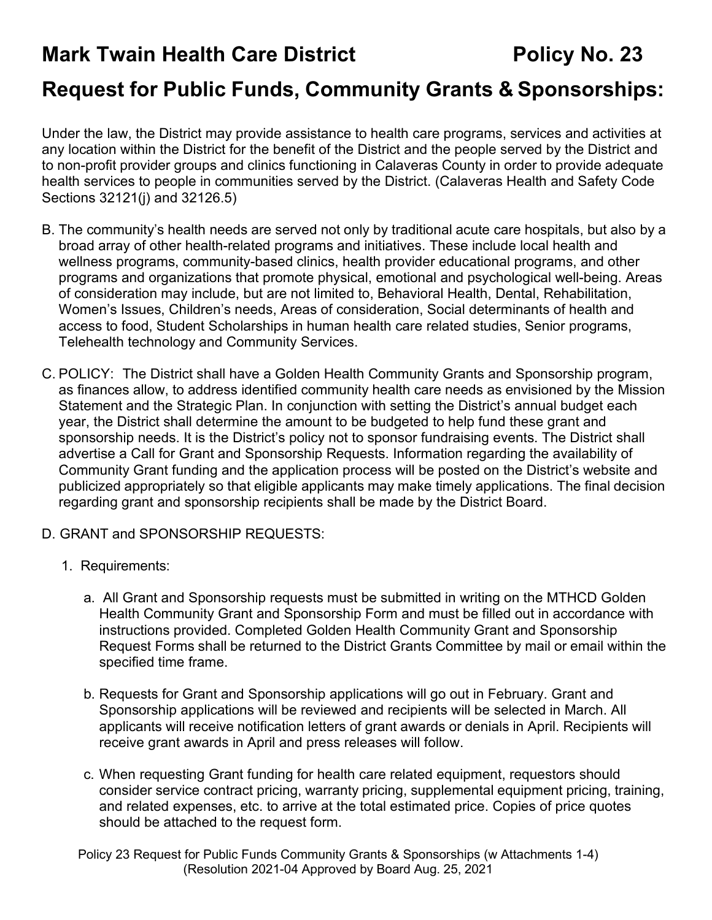# **Mark Twain Health Care District Fig. 23 Policy No. 23**

# **Request for Public Funds, Community Grants & Sponsorships:**

Under the law, the District may provide assistance to health care programs, services and activities at any location within the District for the benefit of the District and the people served by the District and to non-profit provider groups and clinics functioning in Calaveras County in order to provide adequate health services to people in communities served by the District. (Calaveras Health and Safety Code Sections 32121(j) and 32126.5)

- B. The community's health needs are served not only by traditional acute care hospitals, but also by a broad array of other health-related programs and initiatives. These include local health and wellness programs, community-based clinics, health provider educational programs, and other programs and organizations that promote physical, emotional and psychological well-being. Areas of consideration may include, but are not limited to, Behavioral Health, Dental, Rehabilitation, Women's Issues, Children's needs, Areas of consideration, Social determinants of health and access to food, Student Scholarships in human health care related studies, Senior programs, Telehealth technology and Community Services.
- C. POLICY: The District shall have a Golden Health Community Grants and Sponsorship program, as finances allow, to address identified community health care needs as envisioned by the Mission Statement and the Strategic Plan. In conjunction with setting the District's annual budget each year, the District shall determine the amount to be budgeted to help fund these grant and sponsorship needs. It is the District's policy not to sponsor fundraising events. The District shall advertise a Call for Grant and Sponsorship Requests. Information regarding the availability of Community Grant funding and the application process will be posted on the District's website and publicized appropriately so that eligible applicants may make timely applications. The final decision regarding grant and sponsorship recipients shall be made by the District Board.
- D. GRANT and SPONSORSHIP REQUESTS:
	- 1. Requirements:
		- a. All Grant and Sponsorship requests must be submitted in writing on the MTHCD Golden Health Community Grant and Sponsorship Form and must be filled out in accordance with instructions provided. Completed Golden Health Community Grant and Sponsorship Request Forms shall be returned to the District Grants Committee by mail or email within the specified time frame.
		- b. Requests for Grant and Sponsorship applications will go out in February. Grant and Sponsorship applications will be reviewed and recipients will be selected in March. All applicants will receive notification letters of grant awards or denials in April. Recipients will receive grant awards in April and press releases will follow.
		- c. When requesting Grant funding for health care related equipment, requestors should consider service contract pricing, warranty pricing, supplemental equipment pricing, training, and related expenses, etc. to arrive at the total estimated price. Copies of price quotes should be attached to the request form.

Policy 23 Request for Public Funds Community Grants & Sponsorships (w Attachments 1-4) (Resolution 2021-04 Approved by Board Aug. 25, 2021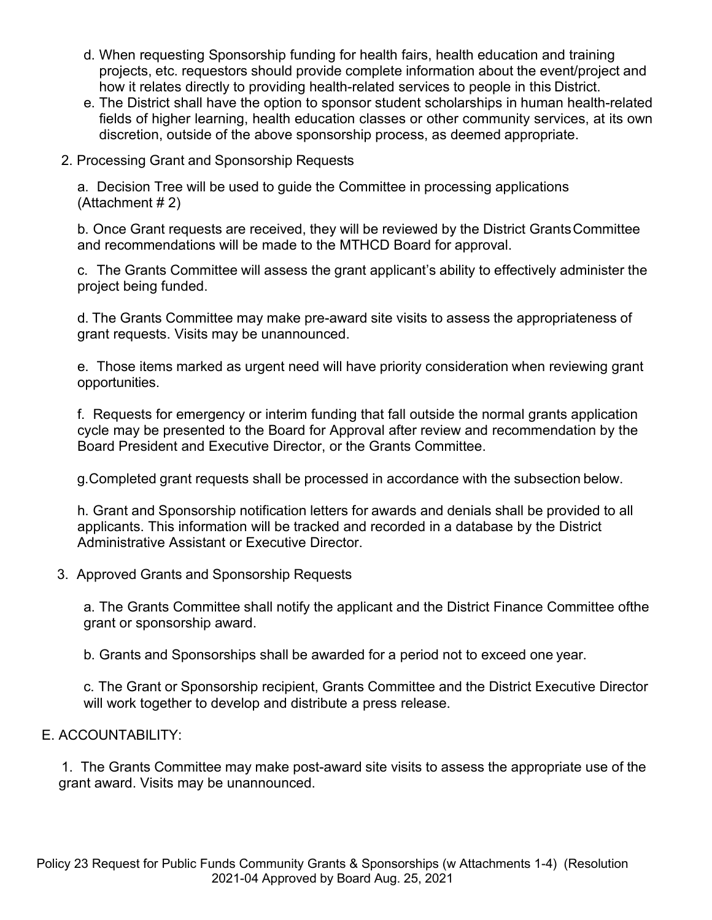- d. When requesting Sponsorship funding for health fairs, health education and training projects, etc. requestors should provide complete information about the event/project and how it relates directly to providing health-related services to people in this District.
- e. The District shall have the option to sponsor student scholarships in human health-related fields of higher learning, health education classes or other community services, at its own discretion, outside of the above sponsorship process, as deemed appropriate.
- 2. Processing Grant and Sponsorship Requests

a. Decision Tree will be used to guide the Committee in processing applications (Attachment # 2)

b. Once Grant requests are received, they will be reviewed by the District GrantsCommittee and recommendations will be made to the MTHCD Board for approval.

c. The Grants Committee will assess the grant applicant's ability to effectively administer the project being funded.

d. The Grants Committee may make pre-award site visits to assess the appropriateness of grant requests. Visits may be unannounced.

e. Those items marked as urgent need will have priority consideration when reviewing grant opportunities.

f. Requests for emergency or interim funding that fall outside the normal grants application cycle may be presented to the Board for Approval after review and recommendation by the Board President and Executive Director, or the Grants Committee.

g.Completed grant requests shall be processed in accordance with the subsection below.

h. Grant and Sponsorship notification letters for awards and denials shall be provided to all applicants. This information will be tracked and recorded in a database by the District Administrative Assistant or Executive Director.

3. Approved Grants and Sponsorship Requests

a. The Grants Committee shall notify the applicant and the District Finance Committee ofthe grant or sponsorship award.

b. Grants and Sponsorships shall be awarded for a period not to exceed one year.

c. The Grant or Sponsorship recipient, Grants Committee and the District Executive Director will work together to develop and distribute a press release.

## E. ACCOUNTABILITY:

1. The Grants Committee may make post-award site visits to assess the appropriate use of the grant award. Visits may be unannounced.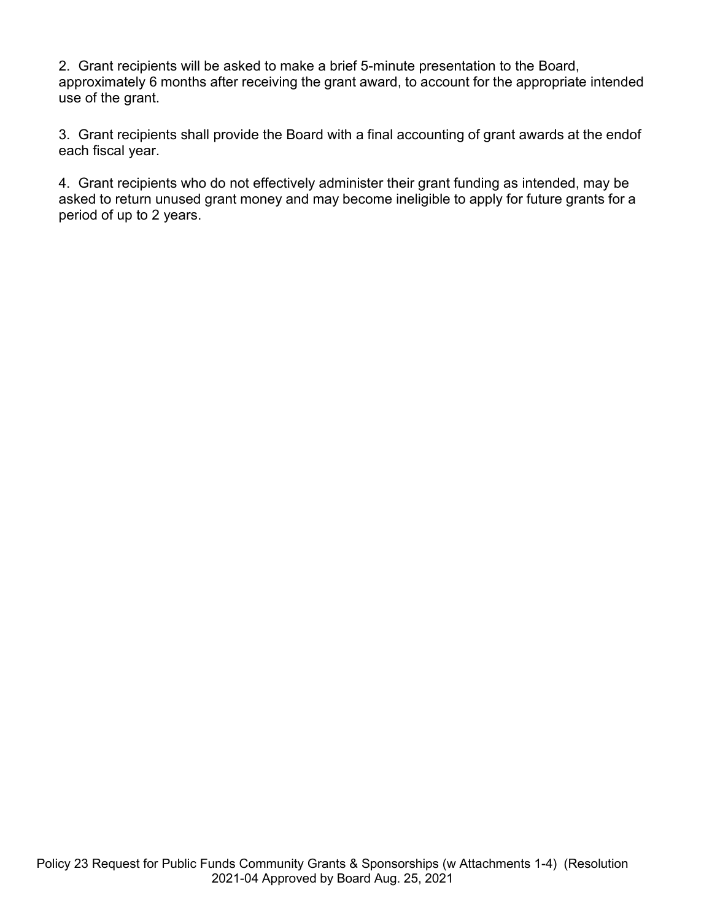2. Grant recipients will be asked to make a brief 5-minute presentation to the Board, approximately 6 months after receiving the grant award, to account for the appropriate intended use of the grant.

3. Grant recipients shall provide the Board with a final accounting of grant awards at the endof each fiscal year.

4. Grant recipients who do not effectively administer their grant funding as intended, may be asked to return unused grant money and may become ineligible to apply for future grants for a period of up to 2 years.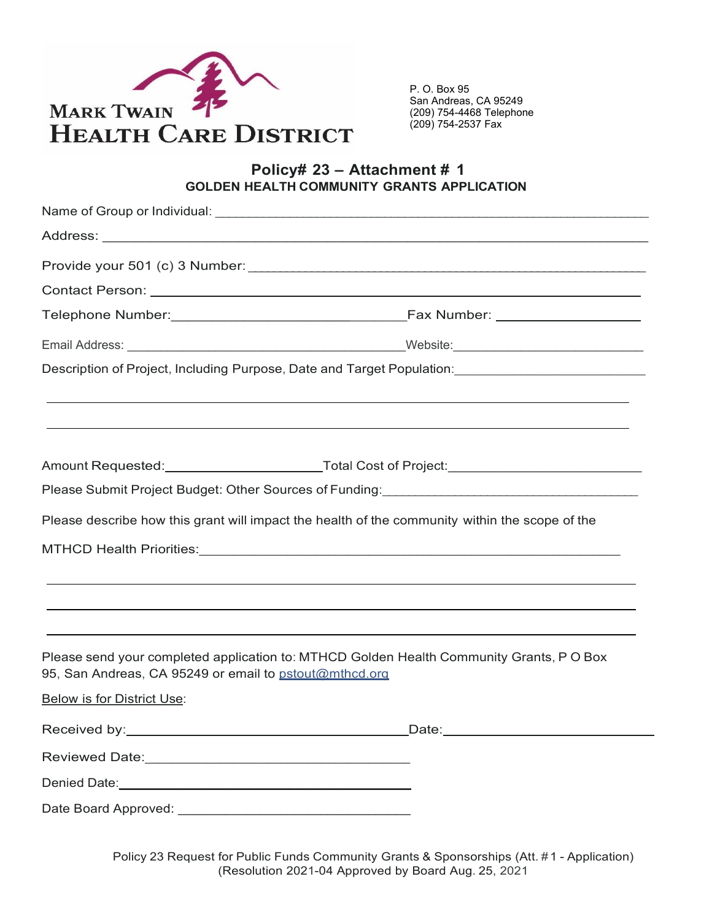

#### **Policy# 23 – Attachment # 1 GOLDEN HEALTH COMMUNITY GRANTS APPLICATION**

|                                                        | Description of Project, Including Purpose, Date and Target Population: [1988] [1988] [1988] [1988] [1989] [19 |
|--------------------------------------------------------|---------------------------------------------------------------------------------------------------------------|
|                                                        |                                                                                                               |
|                                                        | Amount Requested:_______________________________Total Cost of Project:_____________________________           |
|                                                        | Please Submit Project Budget: Other Sources of Funding:__________________________                             |
|                                                        | Please describe how this grant will impact the health of the community within the scope of the                |
|                                                        |                                                                                                               |
|                                                        | ,我们也不会有什么。""我们的人,我们也不会有什么?""我们的人,我们也不会有什么?""我们的人,我们也不会有什么?""我们的人,我们也不会有什么?""我们的人                              |
|                                                        |                                                                                                               |
| 95, San Andreas, CA 95249 or email to pstout@mthcd.org | Please send your completed application to: MTHCD Golden Health Community Grants, PO Box                       |
| <b>Below is for District Use:</b>                      |                                                                                                               |
|                                                        | _Date:______________________                                                                                  |
|                                                        |                                                                                                               |
|                                                        |                                                                                                               |
|                                                        |                                                                                                               |

Policy 23 Request for Public Funds Community Grants & Sponsorships (Att. # 1 - Application) (Resolution 2021-04 Approved by Board Aug. 25, 2021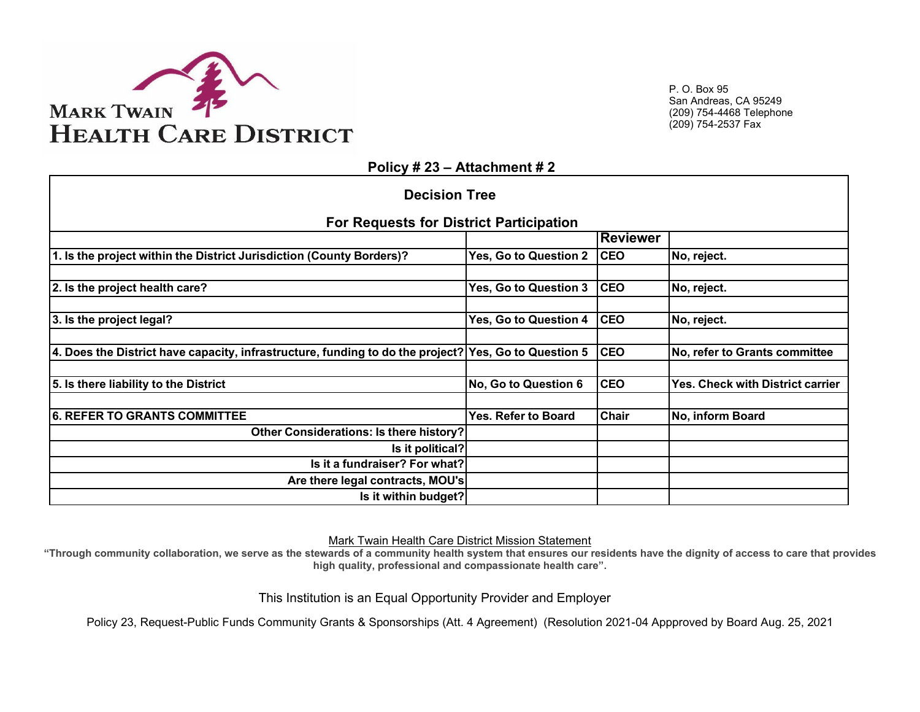

**Policy # 23 – Attachment # 2**

| <b>Decision Tree</b>                                                                                   |                       |              |                                  |  |  |  |  |
|--------------------------------------------------------------------------------------------------------|-----------------------|--------------|----------------------------------|--|--|--|--|
| <b>For Requests for District Participation</b>                                                         |                       |              |                                  |  |  |  |  |
|                                                                                                        |                       | Reviewer     |                                  |  |  |  |  |
| 1. Is the project within the District Jurisdiction (County Borders)?                                   | Yes, Go to Question 2 | <b>CEO</b>   | No, reject.                      |  |  |  |  |
|                                                                                                        |                       |              |                                  |  |  |  |  |
| 2. Is the project health care?                                                                         | Yes, Go to Question 3 | <b>CEO</b>   | No, reject.                      |  |  |  |  |
|                                                                                                        |                       |              |                                  |  |  |  |  |
| 3. Is the project legal?                                                                               | Yes, Go to Question 4 | <b>CEO</b>   | No, reject.                      |  |  |  |  |
|                                                                                                        |                       |              |                                  |  |  |  |  |
| 4. Does the District have capacity, infrastructure, funding to do the project?   Yes, Go to Question 5 |                       | <b>CEO</b>   | No, refer to Grants committee    |  |  |  |  |
|                                                                                                        |                       |              |                                  |  |  |  |  |
| 5. Is there liability to the District                                                                  | No, Go to Question 6  | <b>CEO</b>   | Yes. Check with District carrier |  |  |  |  |
|                                                                                                        |                       |              |                                  |  |  |  |  |
| <b>6. REFER TO GRANTS COMMITTEE</b>                                                                    | Yes. Refer to Board   | <b>Chair</b> | No, inform Board                 |  |  |  |  |
| <b>Other Considerations: Is there history?</b>                                                         |                       |              |                                  |  |  |  |  |
| Is it political?                                                                                       |                       |              |                                  |  |  |  |  |
| Is it a fundraiser? For what?                                                                          |                       |              |                                  |  |  |  |  |
| Are there legal contracts, MOU's                                                                       |                       |              |                                  |  |  |  |  |
| Is it within budget?                                                                                   |                       |              |                                  |  |  |  |  |

Mark Twain Health Care District Mission Statement

**"Through community collaboration, we serve as the stewards of a community health system that ensures our residents have the dignity of access to care that provides high quality, professional and compassionate health care".** 

This Institution is an Equal Opportunity Provider and Employer

Policy 23, Request-Public Funds Community Grants & Sponsorships (Att. 4 Agreement) (Resolution 2021-04 Appproved by Board Aug. 25, 2021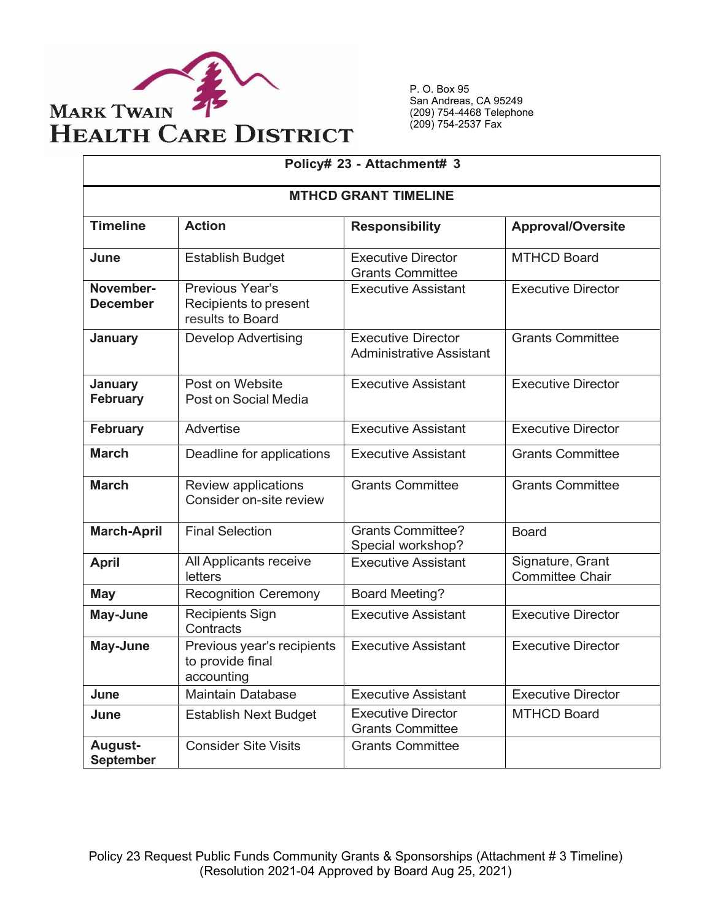

| Policy# 23 - Attachment# 3   |                                                              |                                                              |                                            |  |  |
|------------------------------|--------------------------------------------------------------|--------------------------------------------------------------|--------------------------------------------|--|--|
| <b>MTHCD GRANT TIMELINE</b>  |                                                              |                                                              |                                            |  |  |
| <b>Timeline</b>              | <b>Action</b>                                                | <b>Responsibility</b>                                        | <b>Approval/Oversite</b>                   |  |  |
| June                         | <b>Establish Budget</b>                                      | <b>Executive Director</b><br><b>Grants Committee</b>         | <b>MTHCD Board</b>                         |  |  |
| November-<br><b>December</b> | Previous Year's<br>Recipients to present<br>results to Board | <b>Executive Assistant</b>                                   | <b>Executive Director</b>                  |  |  |
| <b>January</b>               | <b>Develop Advertising</b>                                   | <b>Executive Director</b><br><b>Administrative Assistant</b> | <b>Grants Committee</b>                    |  |  |
| January<br><b>February</b>   | Post on Website<br>Post on Social Media                      | <b>Executive Assistant</b>                                   | <b>Executive Director</b>                  |  |  |
| <b>February</b>              | <b>Advertise</b>                                             | <b>Executive Assistant</b>                                   | <b>Executive Director</b>                  |  |  |
| <b>March</b>                 | Deadline for applications                                    | <b>Executive Assistant</b>                                   | <b>Grants Committee</b>                    |  |  |
| <b>March</b>                 | Review applications<br>Consider on-site review               | <b>Grants Committee</b>                                      | <b>Grants Committee</b>                    |  |  |
| <b>March-April</b>           | <b>Final Selection</b>                                       | <b>Grants Committee?</b><br>Special workshop?                | <b>Board</b>                               |  |  |
| <b>April</b>                 | All Applicants receive<br>letters                            | <b>Executive Assistant</b>                                   | Signature, Grant<br><b>Committee Chair</b> |  |  |
| <b>May</b>                   | <b>Recognition Ceremony</b>                                  | <b>Board Meeting?</b>                                        |                                            |  |  |
| May-June                     | <b>Recipients Sign</b><br>Contracts                          | <b>Executive Assistant</b>                                   | <b>Executive Director</b>                  |  |  |
| May-June                     | Previous year's recipients<br>to provide final<br>accounting | <b>Executive Assistant</b>                                   | <b>Executive Director</b>                  |  |  |
| June                         | <b>Maintain Database</b>                                     | <b>Executive Assistant</b>                                   | <b>Executive Director</b>                  |  |  |
| June                         | <b>Establish Next Budget</b>                                 | <b>Executive Director</b><br><b>Grants Committee</b>         | <b>MTHCD Board</b>                         |  |  |
| August-<br><b>September</b>  | <b>Consider Site Visits</b>                                  | <b>Grants Committee</b>                                      |                                            |  |  |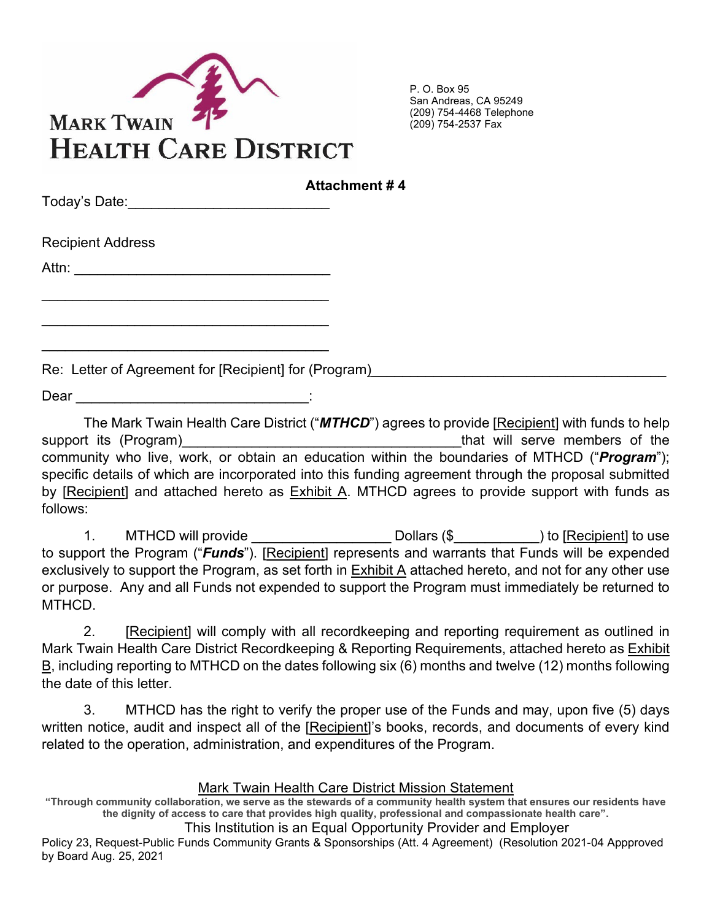

| Today's Date:________________________ | <b>Attachment #4</b> |
|---------------------------------------|----------------------|
| <b>Recipient Address</b>              |                      |
|                                       |                      |
|                                       |                      |

Re: Letter of Agreement for [Recipient] for (Program)\_\_\_\_\_\_\_\_\_\_\_\_\_\_\_\_\_\_\_\_\_\_\_\_\_\_\_

\_\_\_\_\_\_\_\_\_\_\_\_\_\_\_\_\_\_\_\_\_\_\_\_\_\_\_\_\_\_\_\_\_\_\_\_\_

 $Dear$   $\Box$ 

The Mark Twain Health Care District ("*MTHCD*") agrees to provide [Recipient] with funds to help support its (Program) and the support its (Program) and the serve members of the support its (Program) community who live, work, or obtain an education within the boundaries of MTHCD ("*Program*"); specific details of which are incorporated into this funding agreement through the proposal submitted by [Recipient] and attached hereto as Exhibit A. MTHCD agrees to provide support with funds as follows:

1. MTHCD will provide The Collars (\$  $\sim$  001 and \$  $\sim$  01 and  $\sim$  1 b [Recipient] to use to support the Program ("*Funds*"). [Recipient] represents and warrants that Funds will be expended exclusively to support the Program, as set forth in Exhibit A attached hereto, and not for any other use or purpose. Any and all Funds not expended to support the Program must immediately be returned to MTHCD.

2. [Recipient] will comply with all recordkeeping and reporting requirement as outlined in Mark Twain Health Care District Recordkeeping & Reporting Requirements, attached hereto as Exhibit B, including reporting to MTHCD on the dates following six (6) months and twelve (12) months following the date of this letter.

3. MTHCD has the right to verify the proper use of the Funds and may, upon five (5) days written notice, audit and inspect all of the [Recipient]'s books, records, and documents of every kind related to the operation, administration, and expenditures of the Program.

## Mark Twain Health Care District Mission Statement

**"Through community collaboration, we serve as the stewards of a community health system that ensures our residents have the dignity of access to care that provides high quality, professional and compassionate health care".** 

This Institution is an Equal Opportunity Provider and Employer

Policy 23, Request-Public Funds Community Grants & Sponsorships (Att. 4 Agreement) (Resolution 2021-04 Appproved by Board Aug. 25, 2021